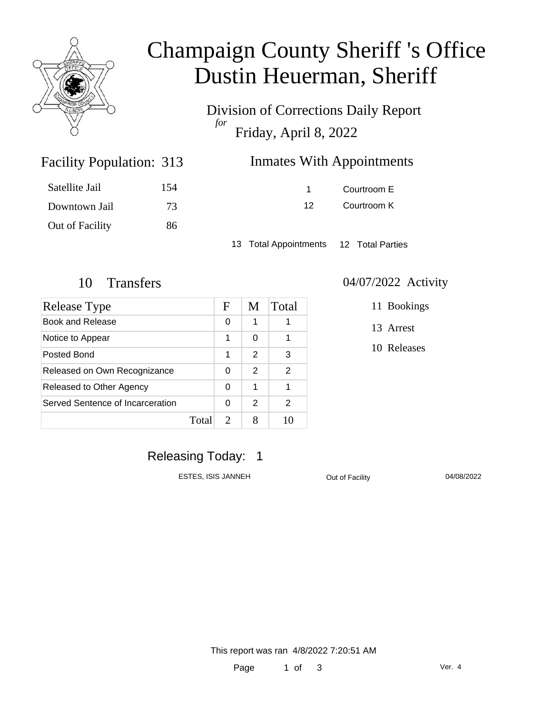

### Champaign County Sheriff 's Office Dustin Heuerman, Sheriff

Division of Corrections Daily Report *for* Friday, April 8, 2022

| 313 | <b>Inmates With Appointments</b> |
|-----|----------------------------------|
|     |                                  |

| Satellite Jail  | 154 |
|-----------------|-----|
| Downtown Jail   | 73. |
| Out of Facility | 86  |

Facility Population: 313

1 Courtroom E 12 Courtroom K

13 Total Appointments 12 Total Parties

| Release Type                     |       | F             | M | Total |
|----------------------------------|-------|---------------|---|-------|
| <b>Book and Release</b>          |       | 0             | 1 |       |
| Notice to Appear                 |       | 1             | 0 |       |
| Posted Bond                      |       | 1             | 2 | 3     |
| Released on Own Recognizance     |       | 0             | 2 | 2     |
| Released to Other Agency         |       | 0             | 1 |       |
| Served Sentence of Incarceration |       | 0             | 2 | 2     |
|                                  | Total | $\mathcal{D}$ |   |       |

#### 10 Transfers 04/07/2022 Activity

11 Bookings

13 Arrest

10 Releases

Releasing Today: 1

ESTES, ISIS JANNEH Out of Facility 04/08/2022

This report was ran 4/8/2022 7:20:51 AM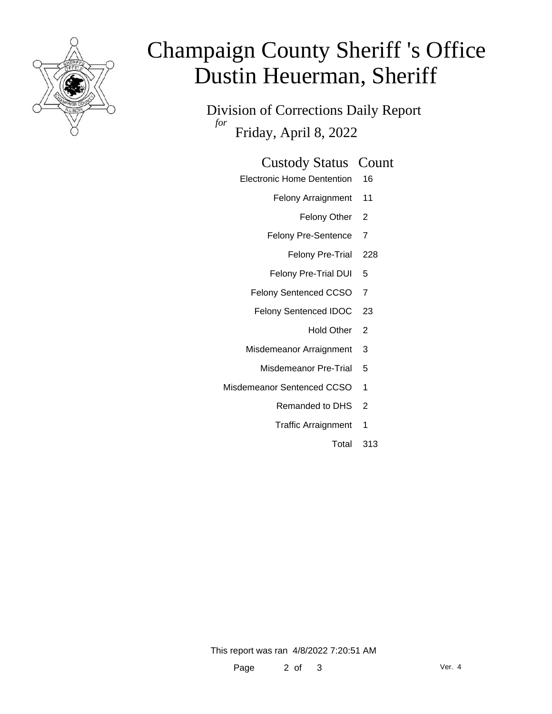

# Champaign County Sheriff 's Office Dustin Heuerman, Sheriff

Division of Corrections Daily Report *for* Friday, April 8, 2022

#### Custody Status Count

- Electronic Home Dentention 16
	- Felony Arraignment 11
		- Felony Other 2
	- Felony Pre-Sentence 7
		- Felony Pre-Trial 228
	- Felony Pre-Trial DUI 5
	- Felony Sentenced CCSO 7
	- Felony Sentenced IDOC 23
		- Hold Other 2
	- Misdemeanor Arraignment 3
		- Misdemeanor Pre-Trial 5
- Misdemeanor Sentenced CCSO 1
	- Remanded to DHS 2
	- Traffic Arraignment 1
		- Total 313

This report was ran 4/8/2022 7:20:51 AM